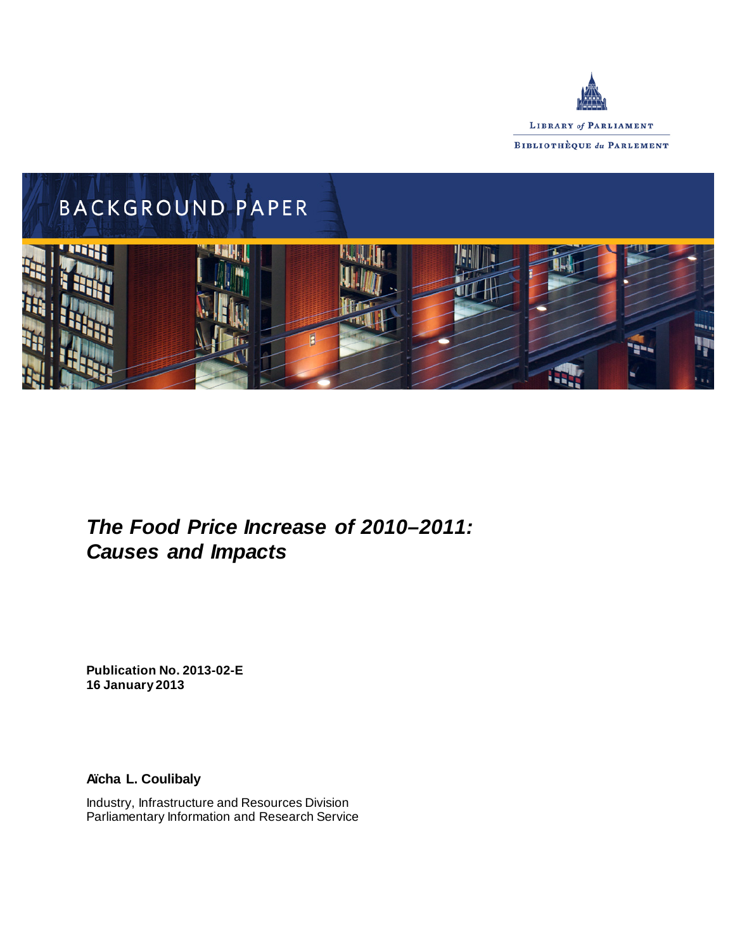



# *The Food Price Increase of 2010–2011: Causes and Impacts*

**Publication No. 2013-02-E 16 January 2013**

**Aïcha L. Coulibaly**

Industry, Infrastructure and Resources Division Parliamentary Information and Research Service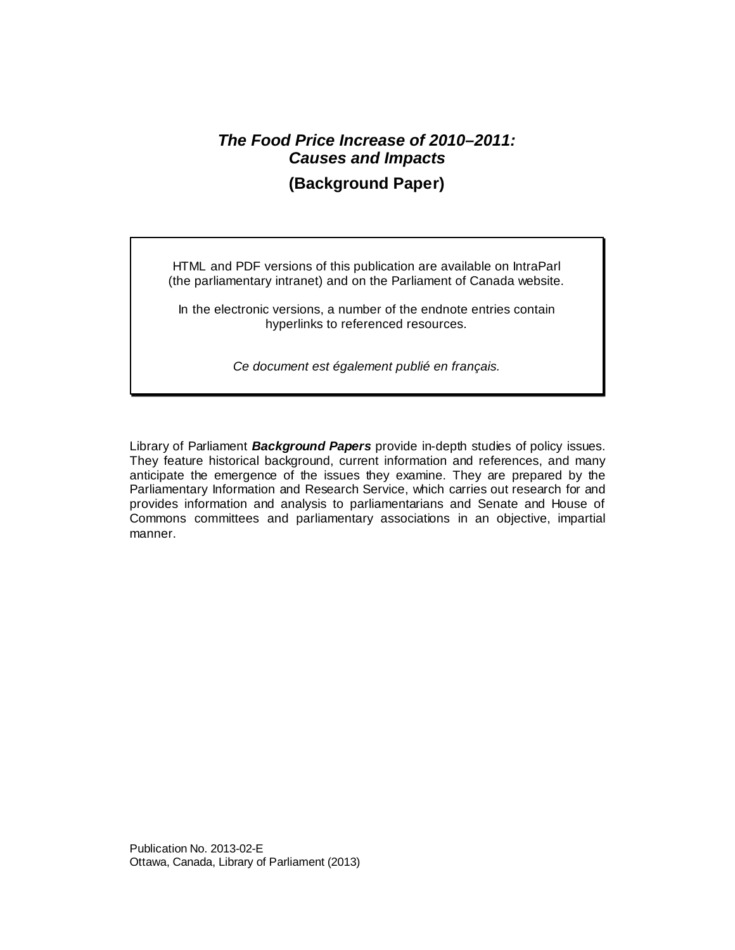## *The Food Price Increase of 2010–2011: Causes and Impacts* **(Background Paper)**

HTML and PDF versions of this publication are available on IntraParl (the parliamentary intranet) and on the Parliament of Canada website.

In the electronic versions, a number of the endnote entries contain hyperlinks to referenced resources.

*Ce document est également publié en français.*

Library of Parliament *Background Papers* provide in-depth studies of policy issues. They feature historical background, current information and references, and many anticipate the emergence of the issues they examine. They are prepared by the Parliamentary Information and Research Service, which carries out research for and provides information and analysis to parliamentarians and Senate and House of Commons committees and parliamentary associations in an objective, impartial manner.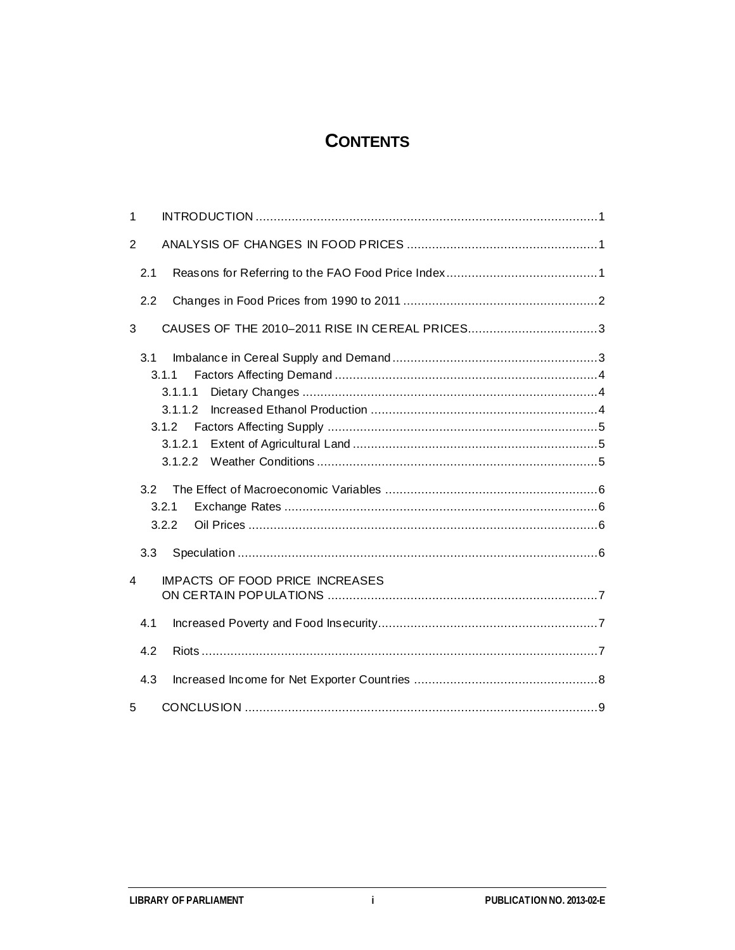# **CONTENTS**

| 1              |                                                 |
|----------------|-------------------------------------------------|
| 2              |                                                 |
| 2.1            |                                                 |
| 2.2            |                                                 |
| 3              | CAUSES OF THE 2010-2011 RISE IN CEREAL PRICES3  |
| 3.1<br>3.2     | 3.1.1<br>3.1.1.1<br>3.1.1.2<br>3.1.2<br>3.1.2.1 |
|                | 3.2.1                                           |
|                | 3.2.2                                           |
| 3.3            |                                                 |
| $\overline{4}$ | <b>IMPACTS OF FOOD PRICE INCREASES</b>          |
| 4.1            |                                                 |
| 4.2            |                                                 |
| 4.3            |                                                 |
| 5              |                                                 |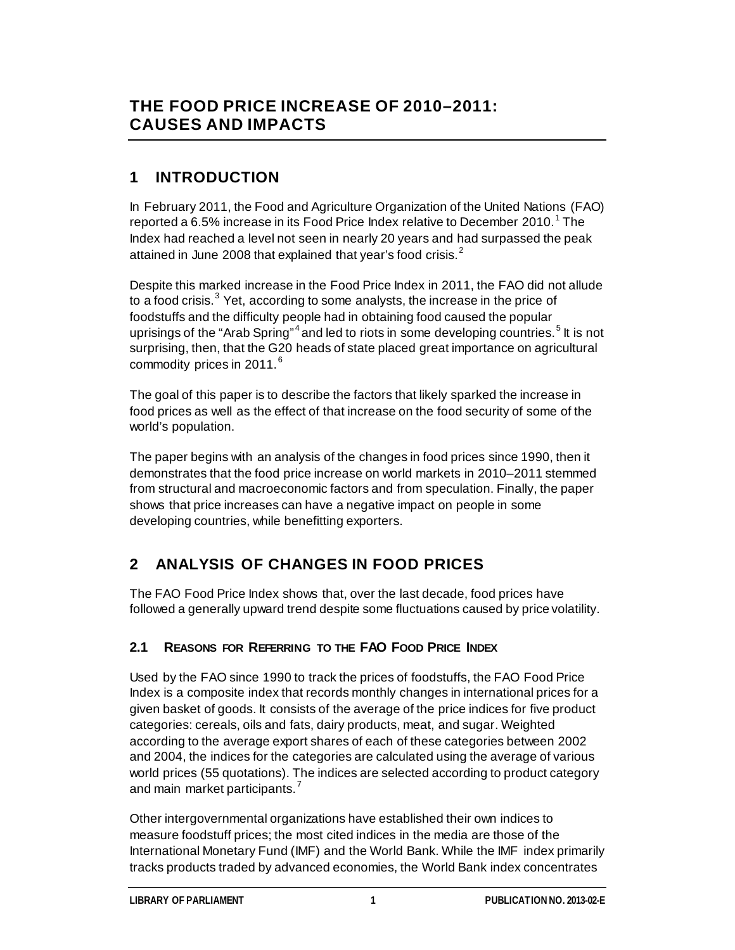# **THE FOOD PRICE INCREASE OF 2010–2011: CAUSES AND IMPACTS**

# **1 INTRODUCTION**

In February 2011, the Food and Agriculture Organization of the United Nations (FAO) reported a 6.5% increase in its Food Price Index relative to December 20[1](#page-12-0)0.<sup>1</sup> The Index had reached a level not seen in nearly 20 years and had surpassed the peak attained in June [2](#page-12-1)008 that explained that year's food crisis. $2$ 

Despite this marked increase in the Food Price Index in 2011, the FAO did not allude to a food crisis.<sup>[3](#page-12-2)</sup> Yet, according to some analysts, the increase in the price of foodstuffs and the difficulty people had in obtaining food caused the popular uprisings of the "Arab Spring"<sup>[4](#page-12-3)</sup> and led to riots in some developing countries.<sup>[5](#page-12-4)</sup> It is not surprising, then, that the G20 heads of state placed great importance on agricultural commodity prices in 2011. $^6$  $^6$ 

The goal of this paper is to describe the factors that likely sparked the increase in food prices as well as the effect of that increase on the food security of some of the world's population.

The paper begins with an analysis of the changes in food prices since 1990, then it demonstrates that the food price increase on world markets in 2010–2011 stemmed from structural and macroeconomic factors and from speculation. Finally, the paper shows that price increases can have a negative impact on people in some developing countries, while benefitting exporters.

# **2 ANALYSIS OF CHANGES IN FOOD PRICES**

The FAO Food Price Index shows that, over the last decade, food prices have followed a generally upward trend despite some fluctuations caused by price volatility.

## **2.1 REASONS FOR REFERRING TO THE FAO FOOD PRICE INDEX**

Used by the FAO since 1990 to track the prices of foodstuffs, the FAO Food Price Index is a composite index that records monthly changes in international prices for a given basket of goods. It consists of the average of the price indices for five product categories: cereals, oils and fats, dairy products, meat, and sugar. Weighted according to the average export shares of each of these categories between 2002 and 2004, the indices for the categories are calculated using the average of various world prices (55 quotations). The indices are selected according to product category and main market participants.<sup>[7](#page-12-6)</sup>

Other intergovernmental organizations have established their own indices to measure foodstuff prices; the most cited indices in the media are those of the International Monetary Fund (IMF) and the World Bank. While the IMF index primarily tracks products traded by advanced economies, the World Bank index concentrates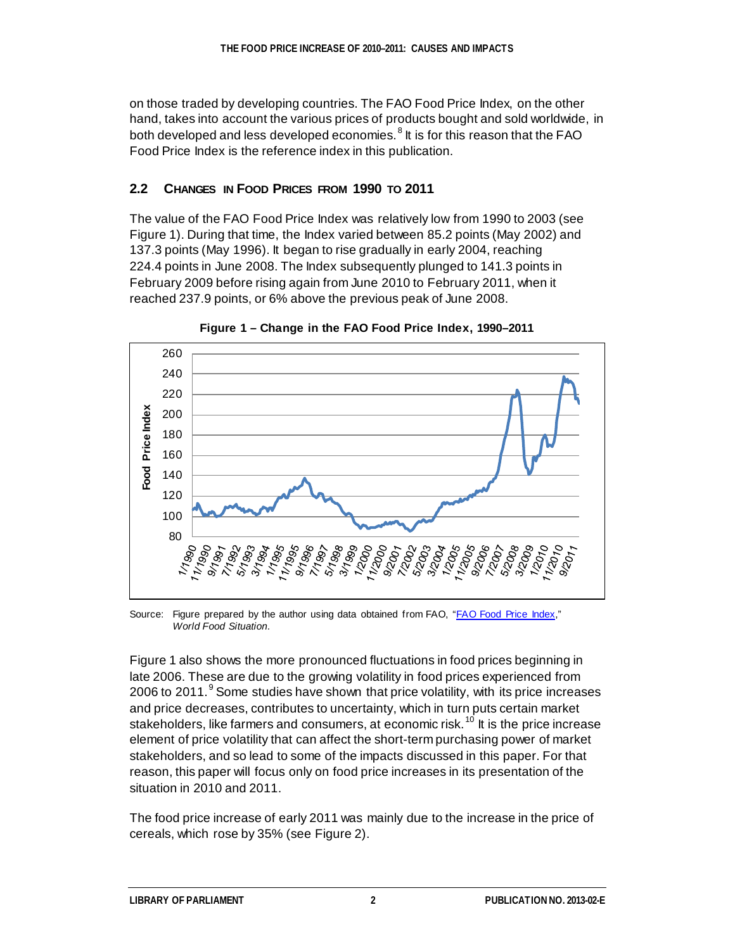on those traded by developing countries. The FAO Food Price Index, on the other hand, takes into account the various prices of products bought and sold worldwide, in both developed and less developed economies. $8$  It is for this reason that the FAO Food Price Index is the reference index in this publication.

## **2.2 CHANGES IN FOOD PRICES FROM 1990 TO 2011**

The value of the FAO Food Price Index was relatively low from 1990 to 2003 (see Figure 1). During that time, the Index varied between 85.2 points (May 2002) and 137.3 points (May 1996). It began to rise gradually in early 2004, reaching 224.4 points in June 2008. The Index subsequently plunged to 141.3 points in February 2009 before rising again from June 2010 to February 2011, when it reached 237.9 points, or 6% above the previous peak of June 2008.



**Figure 1 – Change in the FAO Food Price Index, 1990–2011**

Source: Figure prepared by the author using data obtained from FAO, ["FAO Food Price Index,"](http://www.fao.org/worldfoodsituation/wfs-home/foodpricesindex/en/) *World Food Situation*.

Figure 1 also shows the more pronounced fluctuations in food prices beginning in late 2006. These are due to the growing volatility in food prices experienced from 2006 to 2011. $9$  Some studies have shown that price volatility, with its price increases and price decreases, contributes to uncertainty, which in turn puts certain market stakeholders, like farmers and consumers, at economic risk.<sup>[10](#page-13-2)</sup> It is the price increase element of price volatility that can affect the short-term purchasing power of market stakeholders, and so lead to some of the impacts discussed in this paper. For that reason, this paper will focus only on food price increases in its presentation of the situation in 2010 and 2011.

The food price increase of early 2011 was mainly due to the increase in the price of cereals, which rose by 35% (see Figure 2).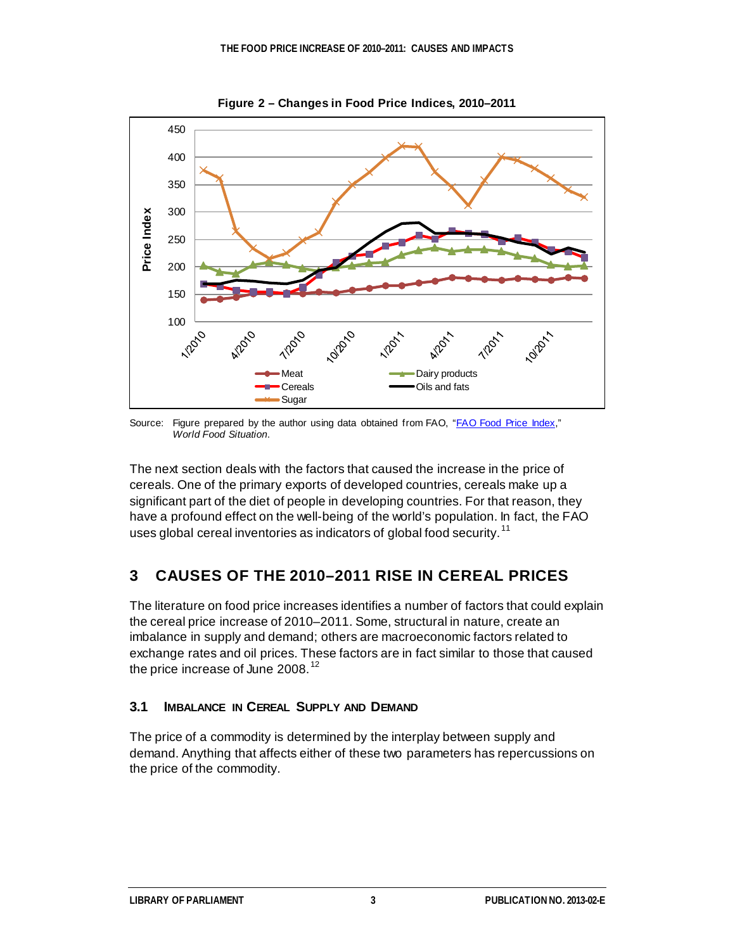

**Figure 2 – Changes in Food Price Indices, 2010–2011**

Source: Figure prepared by the author using data obtained from FAO, ["FAO Food Price Index,"](http://www.fao.org/worldfoodsituation/wfs-home/foodpricesindex/en/) *World Food Situation*.

The next section deals with the factors that caused the increase in the price of cereals. One of the primary exports of developed countries, cereals make up a significant part of the diet of people in developing countries. For that reason, they have a profound effect on the well-being of the world's population. In fact, the FAO uses global cereal inventories as indicators of global food security.<sup>[11](#page-13-3)</sup>

## **3 CAUSES OF THE 2010–2011 RISE IN CEREAL PRICES**

The literature on food price increases identifies a number of factors that could explain the cereal price increase of 2010–2011. Some, structural in nature, create an imbalance in supply and demand; others are macroeconomic factors related to exchange rates and oil prices. These factors are in fact similar to those that caused the price increase of June 2008.<sup>[12](#page-13-4)</sup>

## **3.1 IMBALANCE IN CEREAL SUPPLY AND DEMAND**

The price of a commodity is determined by the interplay between supply and demand. Anything that affects either of these two parameters has repercussions on the price of the commodity.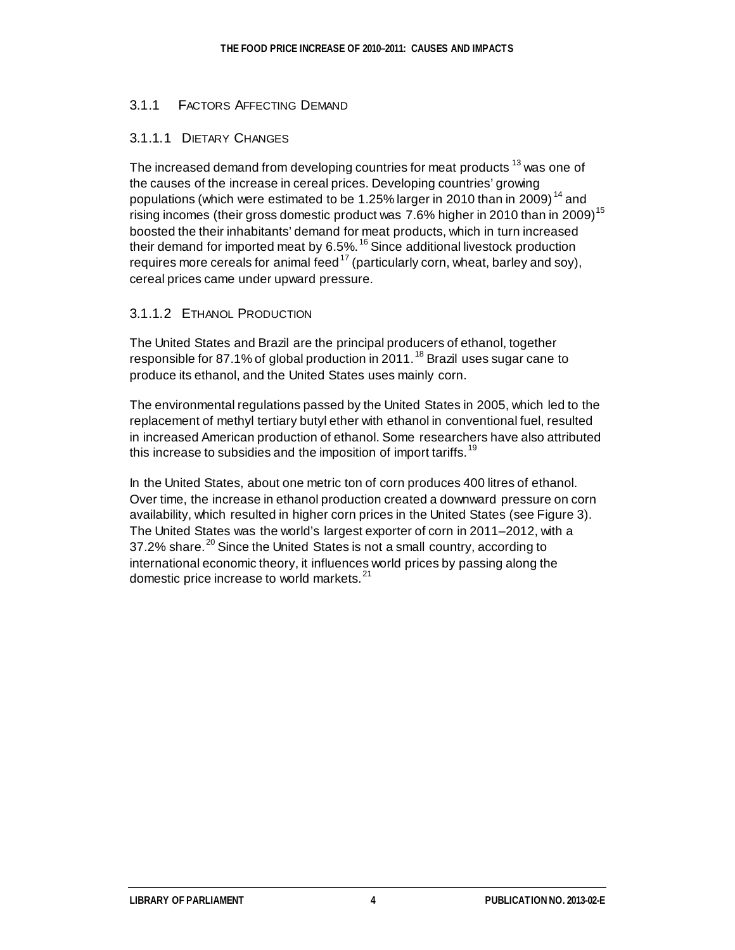## 3.1.1 FACTORS AFFECTING DEMAND

## 3.1.1.1 DIETARY CHANGES

The increased demand from developing countries for meat products <sup>[13](#page-13-5)</sup> was one of the causes of the increase in cereal prices. Developing countries' growing populations (which were estimated to be 1.25% larger in 2010 than in 2009)<sup>[14](#page-13-6)</sup> and rising incomes (their gross domestic product was 7.6% higher in 2010 than in 2009)<sup>[15](#page-13-7)</sup> boosted the their inhabitants' demand for meat products, which in turn increased their demand for imported meat by 6.5%.<sup>[16](#page-13-8)</sup> Since additional livestock production requires more cereals for animal feed<sup>[17](#page-13-9)</sup> (particularly corn, wheat, barley and soy), cereal prices came under upward pressure.

### 3.1.1.2 ETHANOL PRODUCTION

The United States and Brazil are the principal producers of ethanol, together responsible for 87.1% of global production in 2011.<sup>[18](#page-13-10)</sup> Brazil uses sugar cane to produce its ethanol, and the United States uses mainly corn.

The environmental regulations passed by the United States in 2005, which led to the replacement of methyl tertiary butyl ether with ethanol in conventional fuel, resulted in increased American production of ethanol. Some researchers have also attributed this increase to subsidies and the imposition of import tariffs.<sup>[19](#page-13-11)</sup>

In the United States, about one metric ton of corn produces 400 litres of ethanol. Over time, the increase in ethanol production created a downward pressure on corn availability, which resulted in higher corn prices in the United States (see Figure 3). The United States was the world's largest exporter of corn in 2011–2012, with a 37.2% share.<sup>[20](#page-13-12)</sup> Since the United States is not a small country, according to international economic theory, it influences world prices by passing along the domestic price increase to world markets.<sup>[21](#page-13-13)</sup>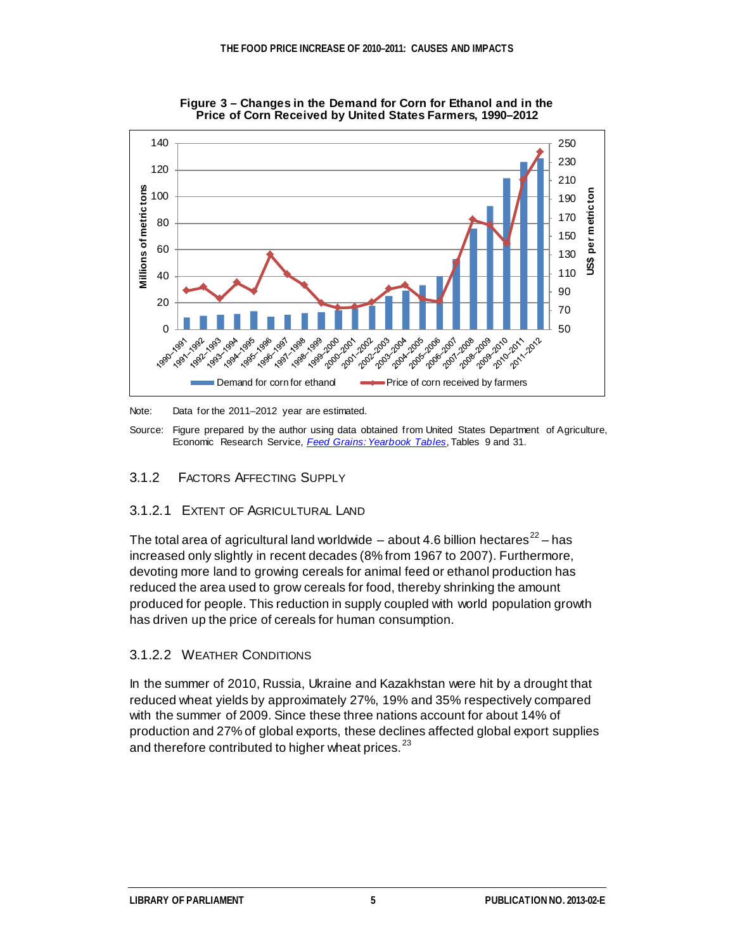

**Figure 3 – Changes in the Demand for Corn for Ethanol and in the Price of Corn Received by United States Farmers, 1990–2012**

Note: Data for the 2011–2012 year are estimated.

Source: Figure prepared by the author using data obtained from United States Department of Agriculture, Economic Research Service, *[Feed Grains: Yearbook Tables](http://www.ers.usda.gov/data-products/feed-grains-database/feed-grains-yearbook-tables.aspx#26811)*, Tables 9 and 31.

### 3.1.2 FACTORS AFFECTING SUPPLY

#### 3.1.2.1 EXTENT OF AGRICULTURAL LAND

The total area of agricultural land worldwide – about 4.6 billion hectares<sup>[22](#page-13-14)</sup> – has increased only slightly in recent decades (8% from 1967 to 2007). Furthermore, devoting more land to growing cereals for animal feed or ethanol production has reduced the area used to grow cereals for food, thereby shrinking the amount produced for people. This reduction in supply coupled with world population growth has driven up the price of cereals for human consumption.

### 3.1.2.2 WEATHER CONDITIONS

In the summer of 2010, Russia, Ukraine and Kazakhstan were hit by a drought that reduced wheat yields by approximately 27%, 19% and 35% respectively compared with the summer of 2009. Since these three nations account for about 14% of production and 27% of global exports, these declines affected global export supplies and therefore contributed to higher wheat prices. $^{23}$  $^{23}$  $^{23}$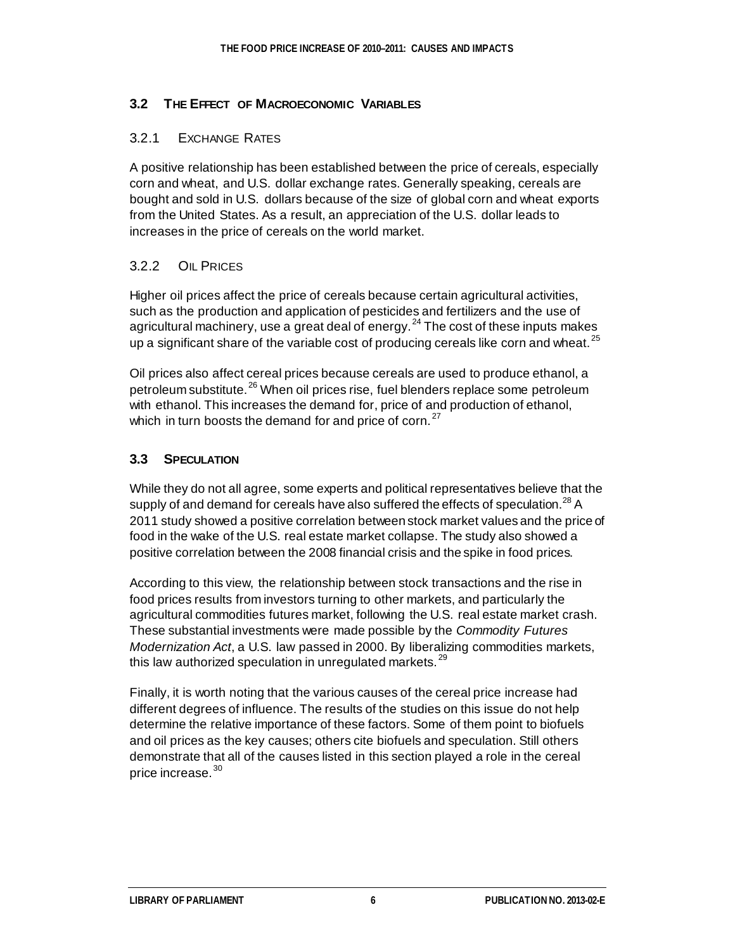## **3.2 THE EFFECT OF MACROECONOMIC VARIABLES**

### 3.2.1 EXCHANGE RATES

A positive relationship has been established between the price of cereals, especially corn and wheat, and U.S. dollar exchange rates. Generally speaking, cereals are bought and sold in U.S. dollars because of the size of global corn and wheat exports from the United States. As a result, an appreciation of the U.S. dollar leads to increases in the price of cereals on the world market.

## 3.2.2 OIL PRICES

Higher oil prices affect the price of cereals because certain agricultural activities, such as the production and application of pesticides and fertilizers and the use of agricultural machinery, use a great deal of energy. $^{24}$  $^{24}$  $^{24}$  The cost of these inputs makes up a significant share of the variable cost of producing cereals like corn and wheat.<sup>[25](#page-13-17)</sup>

Oil prices also affect cereal prices because cereals are used to produce ethanol, a petroleum substitute.<sup>[26](#page-13-18)</sup> When oil prices rise, fuel blenders replace some petroleum with ethanol. This increases the demand for, price of and production of ethanol, which in turn boosts the demand for and price of corn.<sup>[27](#page-14-0)</sup>

## **3.3 SPECULATION**

While they do not all agree, some experts and political representatives believe that the supply of and demand for cereals have also suffered the effects of speculation.<sup>[28](#page-14-1)</sup> A 2011 study showed a positive correlation between stock market values and the price of food in the wake of the U.S. real estate market collapse. The study also showed a positive correlation between the 2008 financial crisis and the spike in food prices.

According to this view, the relationship between stock transactions and the rise in food prices results from investors turning to other markets, and particularly the agricultural commodities futures market, following the U.S. real estate market crash. These substantial investments were made possible by the *Commodity Futures Modernization Act*, a U.S. law passed in 2000. By liberalizing commodities markets, this law authorized speculation in unregulated markets.<sup>[29](#page-14-2)</sup>

Finally, it is worth noting that the various causes of the cereal price increase had different degrees of influence. The results of the studies on this issue do not help determine the relative importance of these factors. Some of them point to biofuels and oil prices as the key causes; others cite biofuels and speculation. Still others demonstrate that all of the causes listed in this section played a role in the cereal price increase.<sup>[30](#page-14-3)</sup>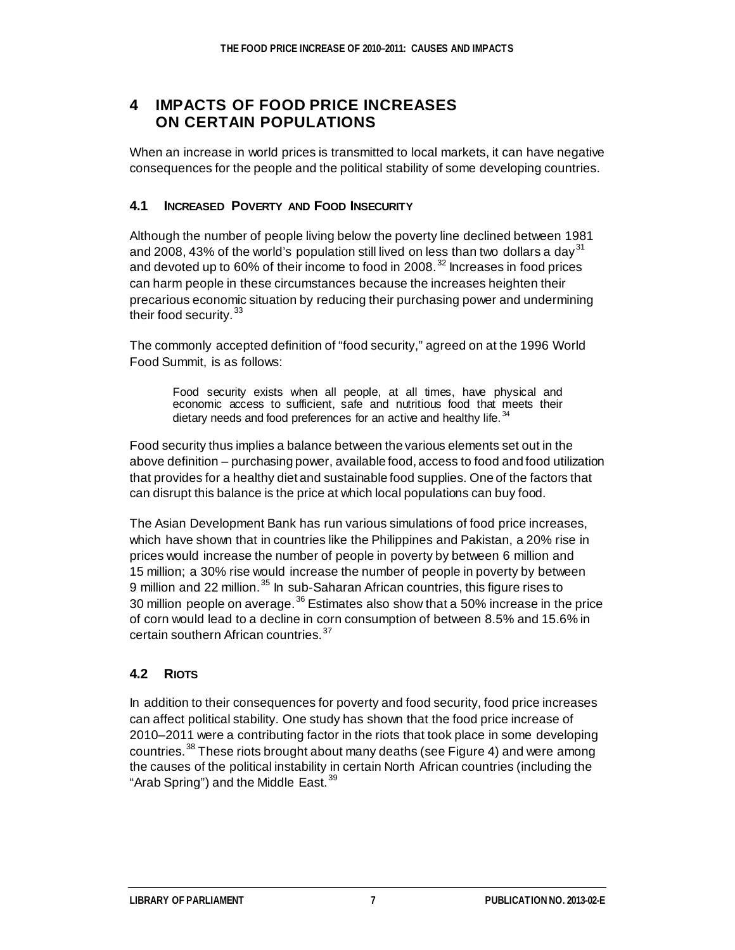## **4 IMPACTS OF FOOD PRICE INCREASES ON CERTAIN POPULATIONS**

When an increase in world prices is transmitted to local markets, it can have negative consequences for the people and the political stability of some developing countries.

## **4.1 INCREASED POVERTY AND FOOD INSECURITY**

Although the number of people living below the poverty line declined between 1981 and 2008, 43% of the world's population still lived on less than two dollars a day<sup>[31](#page-14-4)</sup> and devoted up to 60% of their income to food in 2008.<sup>[32](#page-14-5)</sup> Increases in food prices can harm people in these circumstances because the increases heighten their precarious economic situation by reducing their purchasing power and undermining their food security.<sup>[33](#page-14-6)</sup>

The commonly accepted definition of "food security," agreed on at the 1996 World Food Summit, is as follows:

Food security exists when all people, at all times, have physical and economic access to sufficient, safe and nutritious food that meets their dietary needs and food preferences for an active and healthy life.<sup>[34](#page-14-7)</sup>

Food security thus implies a balance between the various elements set out in the above definition – purchasing power, available food, access to food and food utilization that provides for a healthy diet and sustainable food supplies. One of the factors that can disrupt this balance is the price at which local populations can buy food.

The Asian Development Bank has run various simulations of food price increases, which have shown that in countries like the Philippines and Pakistan, a 20% rise in prices would increase the number of people in poverty by between 6 million and 15 million; a 30% rise would increase the number of people in poverty by between 9 million and 22 million.<sup>[35](#page-14-8)</sup> In sub-Saharan African countries, this figure rises to 30 million people on average.<sup>[36](#page-14-9)</sup> Estimates also show that a 50% increase in the price of corn would lead to a decline in corn consumption of between 8.5% and 15.6% in certain southern African countries.<sup>[37](#page-14-10)</sup>

## **4.2 RIOTS**

In addition to their consequences for poverty and food security, food price increases can affect political stability. One study has shown that the food price increase of 2010–2011 were a contributing factor in the riots that took place in some developing countries.<sup>[38](#page-14-11)</sup> These riots brought about many deaths (see Figure 4) and were among the causes of the political instability in certain North African countries (including the "Arab Spring") and the Middle East.<sup>[39](#page-14-12)</sup>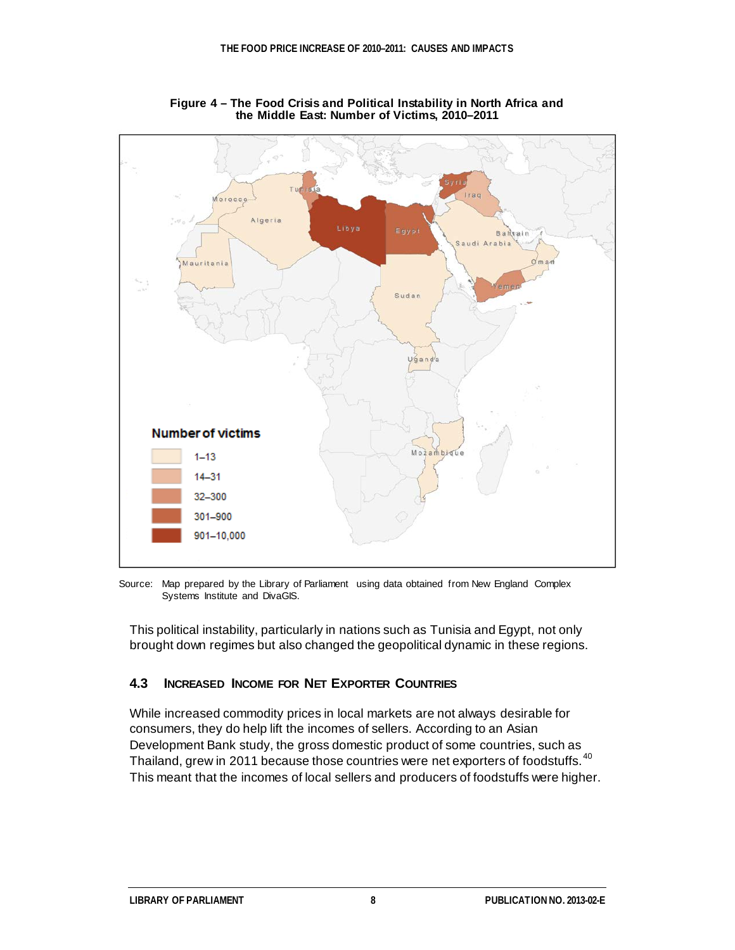

**Figure 4 – The Food Crisis and Political Instability in North Africa and the Middle East: Number of Victims, 2010–2011**

Source: Map prepared by the Library of Parliament using data obtained from New England Complex Systems Institute and DivaGIS.

This political instability, particularly in nations such as Tunisia and Egypt, not only brought down regimes but also changed the geopolitical dynamic in these regions.

## **4.3 INCREASED INCOME FOR NET EXPORTER COUNTRIES**

While increased commodity prices in local markets are not always desirable for consumers, they do help lift the incomes of sellers. According to an Asian Development Bank study, the gross domestic product of some countries, such as Thailand, grew in 2011 because those countries were net exporters of foodstuffs.<sup>[40](#page-14-13)</sup> This meant that the incomes of local sellers and producers of foodstuffs were higher.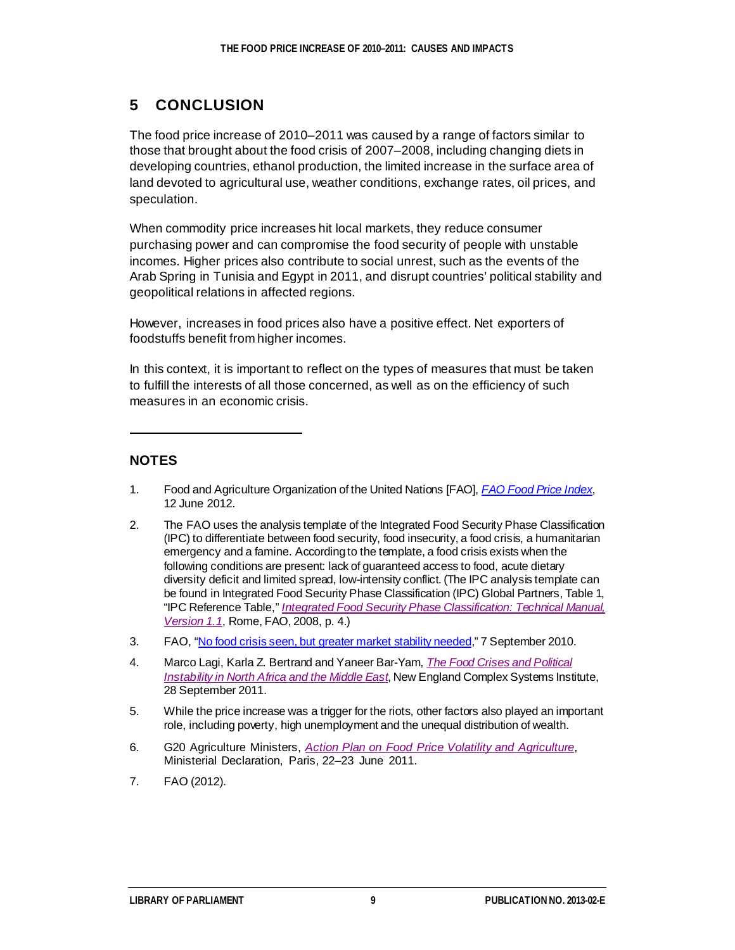## **5 CONCLUSION**

The food price increase of 2010–2011 was caused by a range of factors similar to those that brought about the food crisis of 2007–2008, including changing diets in developing countries, ethanol production, the limited increase in the surface area of land devoted to agricultural use, weather conditions, exchange rates, oil prices, and speculation.

When commodity price increases hit local markets, they reduce consumer purchasing power and can compromise the food security of people with unstable incomes. Higher prices also contribute to social unrest, such as the events of the Arab Spring in Tunisia and Egypt in 2011, and disrupt countries' political stability and geopolitical relations in affected regions.

However, increases in food prices also have a positive effect. Net exporters of foodstuffs benefit from higher incomes.

In this context, it is important to reflect on the types of measures that must be taken to fulfill the interests of all those concerned, as well as on the efficiency of such measures in an economic crisis.

## **NOTES**

ı

- <span id="page-12-0"></span>1. Food and Agriculture Organization of the United Nations [FAO], *[FAO Food Price Index](http://www.fao.org/worldfoodsituation/wfs-home/foodpricesindex/en/)*, 12 June 2012.
- <span id="page-12-1"></span>2. The FAO uses the analysis template of the Integrated Food Security Phase Classification (IPC) to differentiate between food security, food insecurity, a food crisis, a humanitarian emergency and a famine. According to the template, a food crisis exists when the following conditions are present: lack of guaranteed access to food, acute dietary diversity deficit and limited spread, low-intensity conflict. (The IPC analysis template can be found in Integrated Food Security Phase Classification (IPC) Global Partners, Table 1, "IPC Reference Table," *[Integrated Food Security Phase Classification: Technical Manual,](http://www.fao.org/docrep/010/i0275e/i0275e.pdf)  [Version 1.1](http://www.fao.org/docrep/010/i0275e/i0275e.pdf)*, Rome, FAO, 2008, p. 4.)
- <span id="page-12-2"></span>3. FAO, ["No food crisis seen, but greater market stability needed](http://www.fao.org/news/story/en/item/45178/icode/)," 7 September 2010.
- <span id="page-12-3"></span>4. Marco Lagi, Karla Z. Bertrand and Yaneer Bar-Yam, *[The Food Crises and Political](http://necsi.edu/research/social/food_crises.pdf)  [Instability in North Africa and the Middle East](http://necsi.edu/research/social/food_crises.pdf)*, New England Complex Systems Institute, 28 September 2011.
- <span id="page-12-4"></span>5. While the price increase was a trigger for the riots, other factors also played an important role, including poverty, high unemployment and the unequal distribution of wealth.
- <span id="page-12-5"></span>6. G20 Agriculture Ministers, *[Action Plan on Food Price Volatility and Agriculture](http://www.g20.utoronto.ca/2011/2011-agriculture-plan-en.pdf)*, Ministerial Declaration, Paris, 22–23 June 2011.
- <span id="page-12-6"></span>7. FAO (2012).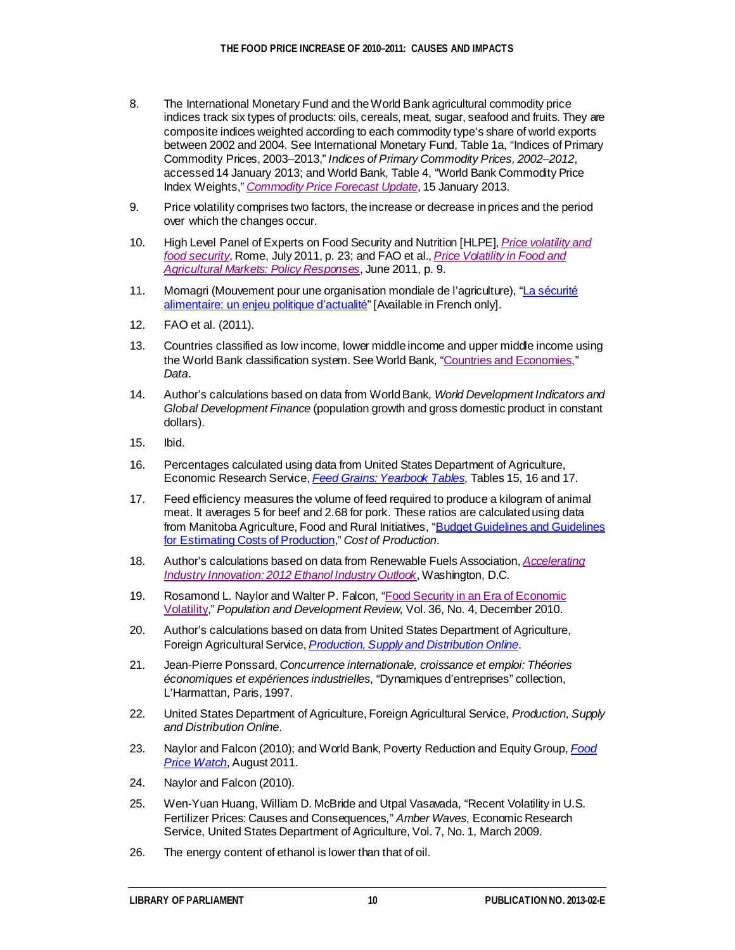- <span id="page-13-0"></span>8. The International Monetary Fund and the World Bank agricultural commodity price indices track six types of products: oils, cereals, meat, sugar, seafood and fruits. They are composite indices weighted according to each commodity type's share of world exports between 2002 and 2004. See International Monetary Fund, Table 1a, "Indices of Primary Commodity Prices, 2003–2013," *[Indices of Primary Commodity](http://www.imf.org/external/np/res/commod/Table1.pdf) Prices, 2002–2012*, accessed 14 January 2013; and World Bank, Table 4, "World Bank Commodity Price Index Weights," *[Commodity Price Forecast Update](http://siteresources.worldbank.org/INTPROSPECTS/Resources/334934-1304428586133/Price_Forecast.pdf)*, 15 January 2013.
- <span id="page-13-1"></span>9. Price volatility comprises two factors, the increase or decrease in prices and the period over which the changes occur.
- <span id="page-13-2"></span>10. High Level Panel of Experts on Food Security and Nutrition [HLPE], *[Price volatility and](http://www.fao.org/fileadmin/user_upload/hlpe/hlpe_documents/HLPE-price-volatility-and-food-security-report-July-2011.pdf)  [food security](http://www.fao.org/fileadmin/user_upload/hlpe/hlpe_documents/HLPE-price-volatility-and-food-security-report-July-2011.pdf)*, Rome, July 2011, p. 23; and FAO et al., *[Price Volatility in Food and](http://www.worldbank.org/foodcrisis/pdf/Interagency_Report_to_the_G20_on_Food_Price_Volatility.pdf)  [Agricultural Markets: Policy Responses](http://www.worldbank.org/foodcrisis/pdf/Interagency_Report_to_the_G20_on_Food_Price_Volatility.pdf)*, June 2011, p. 9.
- <span id="page-13-3"></span>11. Momagri (Mouvement pour une organisation mondiale de l'agriculture), ["La sécurité](http://www.momagri.org/FR/articles/La-securite-alimentaire-un-enjeu-politique-d-actualite-_471.html)  [alimentaire: un enjeu politique d'actualité](http://www.momagri.org/FR/articles/La-securite-alimentaire-un-enjeu-politique-d-actualite-_471.html)" [Available in French only].
- <span id="page-13-4"></span>12. FAO et al. (2011).
- <span id="page-13-5"></span>13. Countries classified as low income, lower middle income and upper middle income using the World Bank classification system. See World Bank, ["Countries and Economies,](http://data.worldbank.org/country)" *Data*.
- <span id="page-13-6"></span>14. Author's calculations based on data from World Bank, *World Development Indicators and Global Development Finance* (population growth and gross domestic product in constant dollars).
- <span id="page-13-7"></span>15. Ibid.
- <span id="page-13-8"></span>16. Percentages calculated using data from United States Department of Agriculture, Economic Research Service, *[Feed Grains: Yearbook Tables](http://www.ers.usda.gov/data-products/feed-grains-database/feed-grains-yearbook-tables.aspx#26811)*, Tables 15, 16 and 17.
- <span id="page-13-9"></span>17. Feed efficiency measures the volume of feed required to produce a kilogram of animal meat. It averages 5 for beef and 2.68 for pork. These ratios are calculated using data from Manitoba Agriculture, Food and Rural Initiatives, "Budget Guidelines and Guidelines [for Estimating Costs of Production](http://www.gov.mb.ca/agriculture/financial/farm/caf00s03.html)," *Cost of Production*.
- <span id="page-13-10"></span>18. Author's calculations based on data from Renewable Fuels Association, *[Accelerating](http://ethanolrfa.3cdn.net/d4ad995ffb7ae8fbfe_1vm62ypzd.pdf)  [Industry Innovation: 2012 Ethanol Industry Outlook](http://ethanolrfa.3cdn.net/d4ad995ffb7ae8fbfe_1vm62ypzd.pdf)*, Washington, D.C.
- <span id="page-13-11"></span>19. Rosamond L. Naylor and Walter P. Falcon, ["Food Security in an Era of Economic](http://www.ecoguinea.org/uploads/5/4/1/5/5415260/food_security_in_volatility.pdf)  [Volatility](http://www.ecoguinea.org/uploads/5/4/1/5/5415260/food_security_in_volatility.pdf)," *Population and Development Review*, Vol. 36, No. 4, December 2010.
- <span id="page-13-12"></span>20. Author's calculations based on data from United States Department of Agriculture, Foreign Agricultural Service, *[Production, Supply and Distribution Online](http://www.fas.usda.gov/psdonline/)*.
- <span id="page-13-13"></span>21. Jean-Pierre Ponssard, *Concurrence internationale, croissance et emploi: Théories économiques et expériences industrielles*, "Dynamiques d'entreprises" collection, L'Harmattan, Paris, 1997.
- <span id="page-13-14"></span>22. United States Department of Agriculture, Foreign Agricultural Service, *Production, Supply and Distribution Online*.
- <span id="page-13-15"></span>23. Naylor and Falcon (2010); and World Bank, Poverty Reduction and Equity Group, *[Food](http://siteresources.worldbank.org/EXTPOVERTY/Resources/336991-1311966520397/Food-Price-Watch-November-2011.htm)  [Price Watch](http://siteresources.worldbank.org/EXTPOVERTY/Resources/336991-1311966520397/Food-Price-Watch-November-2011.htm)*, August 2011.
- <span id="page-13-16"></span>24. Naylor and Falcon (2010).
- <span id="page-13-17"></span>25. Wen-Yuan Huang, William D. McBride and Utpal Vasavada, "Recent Volatility in U.S. Fertilizer Prices: Causes and Consequences," *Amber Waves*, Economic Research Service, United States Department of Agriculture, Vol. 7, No. 1, March 2009.
- <span id="page-13-18"></span>26. The energy content of ethanol is lower than that of oil.